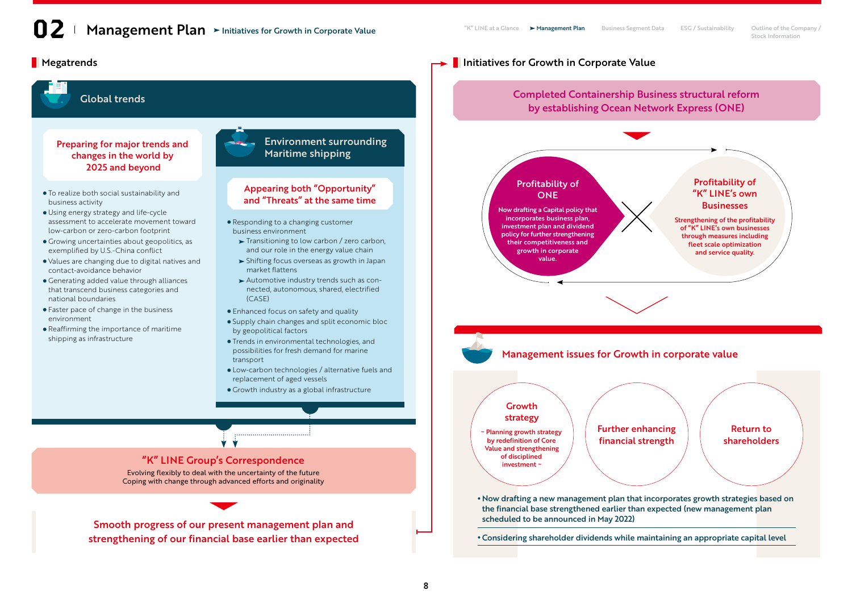# Megatrends Initiatives for Growth in Corporate Value

#### Completed Containership Business structural reform Global trends by establishing Ocean Network Express (ONE) Environment surrounding Preparing for major trends and Maritime shipping changes in the world by 2025 and beyond Profitability of Profitability of Appearing both "Opportunity" To realize both social sustainability and "K" LINE's own ONE and "Threats" at the same time business activity **Businesses** Now drafting a Capital policy that Using energy strategy and life-cycle incorporates business plan, Strengthening of the profitability assessment to accelerate movement toward Responding to a changing customer investment plan and dividend of "K" LINE's own businesses low-carbon or zero-carbon footprint business environment policy for further strengthening through measures including  $\blacktriangleright$  Transitioning to low carbon / zero carbon, Growing uncertainties about geopolitics, as their competitiveness and fleet scale optimization exemplified by U.S.-China conflict and our role in the energy value chain growth in corporate and service quality. value. Shifting focus overseas as growth in Japan Values are changing due to digital natives and contact-avoidance behavior market flattens Generating added value through alliances Automotive industry trends such as conthat transcend business categories and nected, autonomous, shared, electrified (CASE) national boundaries Faster pace of change in the business Enhanced focus on safety and quality environment Supply chain changes and split economic bloc Reaffirming the importance of maritime by geopolitical factors shipping as infrastructure Trends in environmental technologies, and possibilities for fresh demand for marine Management issues for Growth in corporate value transport Low-carbon technologies / alternative fuels and replacement of aged vessels Growth industry as a global infrastructure Growth strategy Further enhancing Return to ~ Planning growth strategy by redefinition of Core financial strength shareholders **V V** Value and strengthening of disciplined "K" LINE Group's Correspondence investment ~ Evolving flexibly to deal with the uncertainty of the future Coping with change through advanced efforts and originality Now drafting a new management plan that incorporates growth strategies based on the financial base strengthened earlier than expected (new management plan scheduled to be announced in May 2022) Smooth progress of our present management plan and Considering shareholder dividends while maintaining an appropriate capital level strengthening of our financial base earlier than expected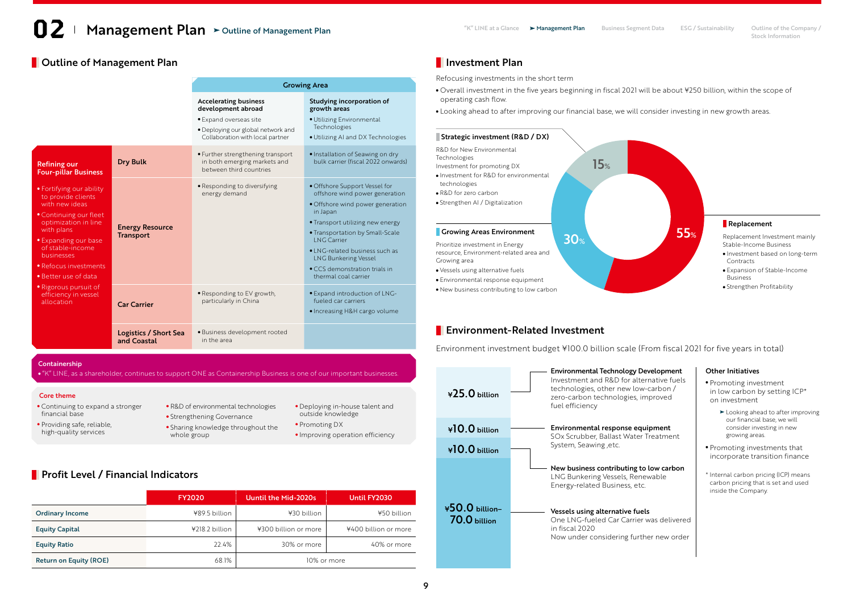# **Dutline of Management Plan Investment Plan Investment Plan**

|                                                                                                                                                                                                                                                                                                            |                                            | <b>Growing Area</b>                                                                                                                                    |                                                                                                                                                                                                                                                                                                                                        |
|------------------------------------------------------------------------------------------------------------------------------------------------------------------------------------------------------------------------------------------------------------------------------------------------------------|--------------------------------------------|--------------------------------------------------------------------------------------------------------------------------------------------------------|----------------------------------------------------------------------------------------------------------------------------------------------------------------------------------------------------------------------------------------------------------------------------------------------------------------------------------------|
|                                                                                                                                                                                                                                                                                                            |                                            | <b>Accelerating business</b><br>development abroad<br>• Expand overseas site<br>· Deploying our global network and<br>Collaboration with local partner | Studying incorporation of<br>growth areas<br>· Utilizing Environmental<br>Technologies<br>. Utilizing AI and DX Technologies                                                                                                                                                                                                           |
| <b>Refining our</b><br><b>Four-pillar Business</b>                                                                                                                                                                                                                                                         | <b>Dry Bulk</b>                            | • Further strengthening transport<br>in both emerging markets and<br>between third countries                                                           | · Installation of Seawing on dry<br>bulk carrier (fiscal 2022 onwards)                                                                                                                                                                                                                                                                 |
| • Fortifying our ability<br>to provide clients<br>with new ideas<br>• Continuing our fleet<br>optimization in line<br>with plans<br>• Expanding our base<br>of stable-income<br>businesses<br>• Refocus investments<br>• Better use of data<br>• Rigorous pursuit of<br>efficiency in vessel<br>allocation | <b>Energy Resource</b><br><b>Transport</b> | · Responding to diversifying<br>energy demand                                                                                                          | • Offshore Support Vessel for<br>offshore wind power generation<br>· Offshore wind power generation<br>in Japan<br>• Transport utilizing new energy<br>• Transportation by Small-Scale<br><b>ING Carrier</b><br>• LNG-related business such as<br><b>LNG Bunkering Vessel</b><br>• CCS demonstration trials in<br>thermal coal carrier |
|                                                                                                                                                                                                                                                                                                            | <b>Car Carrier</b>                         | · Responding to EV growth,<br>particularly in China                                                                                                    | · Expand introduction of LNG-<br>fueled car carriers<br>• Increasing H&H cargo volume                                                                                                                                                                                                                                                  |
|                                                                                                                                                                                                                                                                                                            | Logistics / Short Sea<br>and Coastal       | · Business development rooted<br>in the area                                                                                                           |                                                                                                                                                                                                                                                                                                                                        |

Stock Information

Refocusing investments in the short term

- Overall investment in the five years beginning in fiscal 2021 will be about ¥250 billion, within the scope of operating cash flow.
- Looking ahead to after improving our financial base, we will consider investing in new growth areas.



### **Environment-Related Investment**

Environment investment budget ¥100.0 billion scale (From fiscal 2021 for five years in total)

Environmental Technology Development

#### Promoting investment in low carbon by setting ICP\* on investment **Exercise 2** Looking ahead to after improving our financial base, we will consider investing in new growing areas. Promoting investments that incorporate transition finance \* Internal carbon pricing (ICP) means carbon pricing that is set and used inside the Company. Investment and R&D for alternative fuels technologies, other new low-carbon / zero-carbon technologies, improved fuel efficiency Environmental response equipment SOx Scrubber, Ballast Water Treatment System, Seawing ,etc. New business contributing to low carbon LNG Bunkering Vessels, Renewable Energy-related Business, etc. Vessels using alternative fuels One LNG-fueled Car Carrier was delivered in fiscal 2020 Now under considering further new order ¥50.0 billion– 70.0 billion ¥10.0 billion ¥10.0 billion ¥25.0 billion

Other Initiatives

# Containership

"K" LINE, as a shareholder, continues to support ONE as Containership Business is one of our important businesses.

### Core theme

- Continuing to expand a stronger financial base
- · Providing safe, reliable, high-quality services
- R&D of environmental technologies
	- **Strengthening Governance**
- Sharing knowledge throughout the whole group
- Deploying in-house talent and outside knowledge • Promoting DX
- Improving operation efficiency

# **Profit Level / Financial Indicators**

|                               | <b>FY2020</b>  | Uuntil the Mid-2020s | Until FY2030         |
|-------------------------------|----------------|----------------------|----------------------|
| <b>Ordinary Income</b>        | ¥89.5 billion  | ¥30 billion          | ¥50 billion          |
| <b>Equity Capital</b>         | ¥218.2 billion | ¥300 billion or more | ¥400 billion or more |
| <b>Equity Ratio</b>           | 22.4%          | 30% or more          | 40% or more          |
| <b>Return on Equity (ROE)</b> | 68.1%          | 10% or more          |                      |